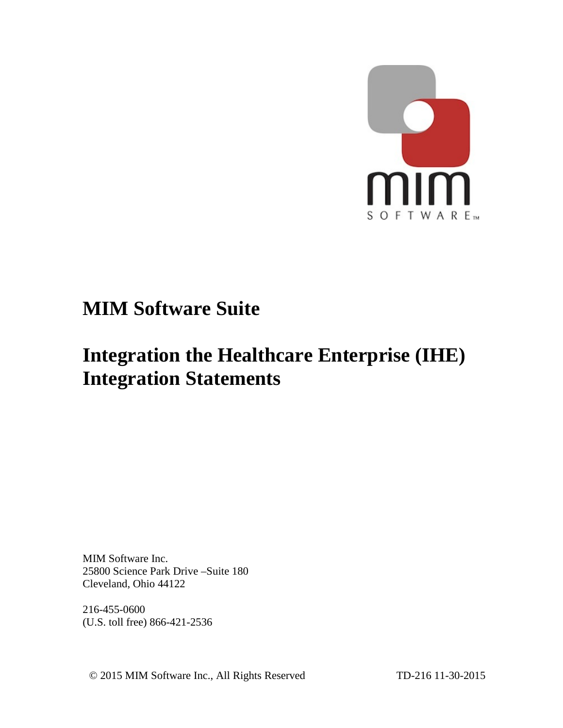

## **MIM Software Suite**

## **Integration the Healthcare Enterprise (IHE) Integration Statements**

MIM Software Inc. 25800 Science Park Drive –Suite 180 Cleveland, Ohio 44122

216-455-0600 (U.S. toll free) 866-421-2536

© 2015 MIM Software Inc., All Rights Reserved TD-216 11-30-2015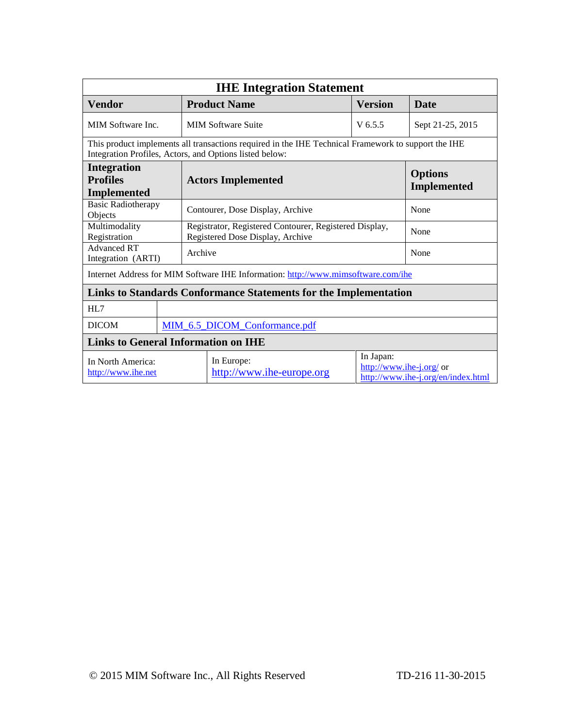| <b>IHE Integration Statement</b>                                                                                                                               |  |                                                                                            |                                         |                                                                             |                                      |  |  |
|----------------------------------------------------------------------------------------------------------------------------------------------------------------|--|--------------------------------------------------------------------------------------------|-----------------------------------------|-----------------------------------------------------------------------------|--------------------------------------|--|--|
| <b>Vendor</b>                                                                                                                                                  |  |                                                                                            | <b>Product Name</b>                     | <b>Version</b>                                                              | Date                                 |  |  |
| MIM Software Inc.                                                                                                                                              |  |                                                                                            | <b>MIM Software Suite</b>               | V 6.5.5                                                                     | Sept 21-25, 2015                     |  |  |
| This product implements all transactions required in the IHE Technical Framework to support the IHE<br>Integration Profiles, Actors, and Options listed below: |  |                                                                                            |                                         |                                                                             |                                      |  |  |
| <b>Integration</b><br><b>Profiles</b><br><b>Implemented</b>                                                                                                    |  | <b>Actors Implemented</b>                                                                  |                                         |                                                                             | <b>Options</b><br><b>Implemented</b> |  |  |
| <b>Basic Radiotherapy</b><br>Objects                                                                                                                           |  |                                                                                            | Contourer, Dose Display, Archive        | None                                                                        |                                      |  |  |
| Multimodality<br>Registration                                                                                                                                  |  | Registrator, Registered Contourer, Registered Display,<br>Registered Dose Display, Archive |                                         |                                                                             | None                                 |  |  |
| <b>Advanced RT</b><br>Integration (ARTI)                                                                                                                       |  | Archive                                                                                    |                                         | None                                                                        |                                      |  |  |
| Internet Address for MIM Software IHE Information: http://www.mimsoftware.com/ihe                                                                              |  |                                                                                            |                                         |                                                                             |                                      |  |  |
| Links to Standards Conformance Statements for the Implementation                                                                                               |  |                                                                                            |                                         |                                                                             |                                      |  |  |
| HL7                                                                                                                                                            |  |                                                                                            |                                         |                                                                             |                                      |  |  |
| <b>DICOM</b>                                                                                                                                                   |  | MIM_6.5_DICOM_Conformance.pdf                                                              |                                         |                                                                             |                                      |  |  |
| <b>Links to General Information on IHE</b>                                                                                                                     |  |                                                                                            |                                         |                                                                             |                                      |  |  |
| In North America:<br>http://www.ihe.net                                                                                                                        |  |                                                                                            | In Europe:<br>http://www.ihe-europe.org | In Japan:<br>http://www.ihe-j.org/ or<br>http://www.ihe-j.org/en/index.html |                                      |  |  |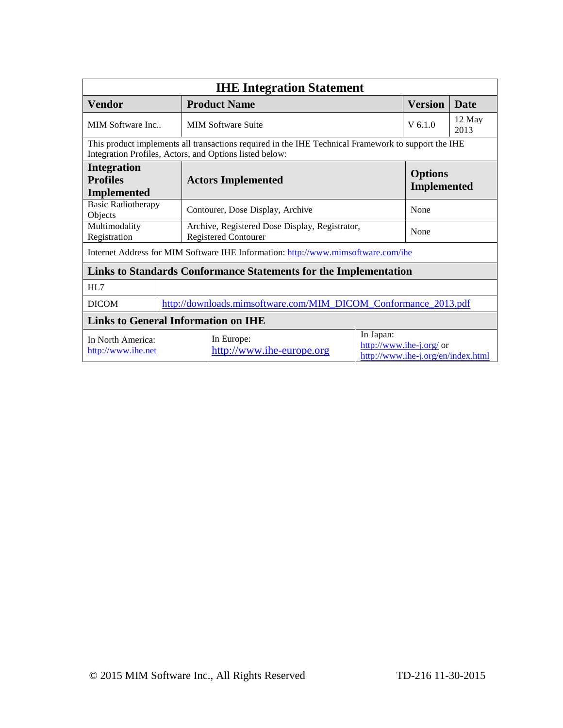| <b>IHE Integration Statement</b>                                                                                                                               |  |                                                                 |                                                                               |                                                                                                             |                                      |                |
|----------------------------------------------------------------------------------------------------------------------------------------------------------------|--|-----------------------------------------------------------------|-------------------------------------------------------------------------------|-------------------------------------------------------------------------------------------------------------|--------------------------------------|----------------|
| <b>Vendor</b>                                                                                                                                                  |  |                                                                 | <b>Product Name</b>                                                           |                                                                                                             | <b>Version</b>                       | Date           |
| MIM Software Inc                                                                                                                                               |  |                                                                 | <b>MIM Software Suite</b>                                                     | $V$ 6.1.0                                                                                                   |                                      | 12 May<br>2013 |
| This product implements all transactions required in the IHE Technical Framework to support the IHE<br>Integration Profiles, Actors, and Options listed below: |  |                                                                 |                                                                               |                                                                                                             |                                      |                |
| <b>Integration</b><br><b>Profiles</b><br><b>Implemented</b>                                                                                                    |  |                                                                 | <b>Actors Implemented</b>                                                     |                                                                                                             | <b>Options</b><br><b>Implemented</b> |                |
| <b>Basic Radiotherapy</b><br>Objects                                                                                                                           |  |                                                                 | Contourer, Dose Display, Archive                                              |                                                                                                             | None                                 |                |
| Multimodality<br>Registration                                                                                                                                  |  |                                                                 | Archive, Registered Dose Display, Registrator,<br><b>Registered Contourer</b> |                                                                                                             | None                                 |                |
| Internet Address for MIM Software IHE Information: http://www.mimsoftware.com/ihe                                                                              |  |                                                                 |                                                                               |                                                                                                             |                                      |                |
| Links to Standards Conformance Statements for the Implementation                                                                                               |  |                                                                 |                                                                               |                                                                                                             |                                      |                |
| HL7                                                                                                                                                            |  |                                                                 |                                                                               |                                                                                                             |                                      |                |
| <b>DICOM</b>                                                                                                                                                   |  | http://downloads.mimsoftware.com/MIM_DICOM_Conformance_2013.pdf |                                                                               |                                                                                                             |                                      |                |
| <b>Links to General Information on IHE</b>                                                                                                                     |  |                                                                 |                                                                               |                                                                                                             |                                      |                |
| In North America:<br>http://www.ihe.net                                                                                                                        |  |                                                                 | In Europe:<br>http://www.ihe-europe.org                                       | In Japan:<br>$\frac{http://www.ine-j.org/}{http://www.ine-j.org/}$ or<br>http://www.ihe-j.org/en/index.html |                                      |                |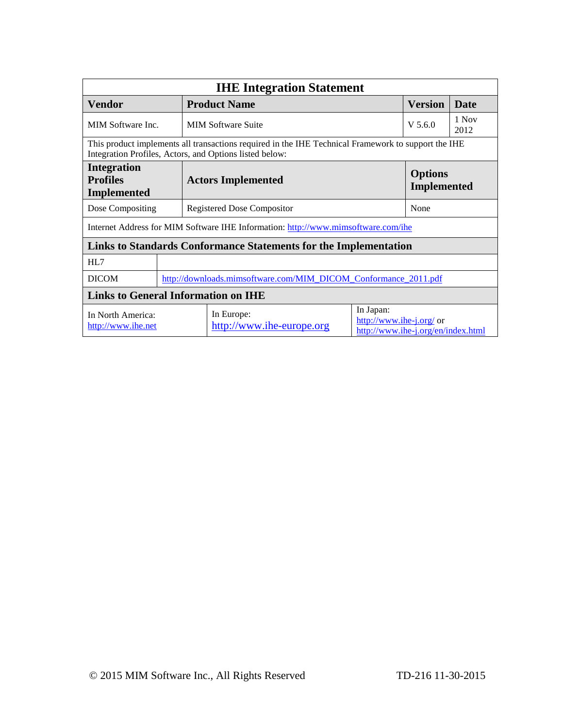| <b>IHE Integration Statement</b>                                                  |                                                                                                                                                                |                                                                 |                                                                                                                        |                |                                      |               |  |
|-----------------------------------------------------------------------------------|----------------------------------------------------------------------------------------------------------------------------------------------------------------|-----------------------------------------------------------------|------------------------------------------------------------------------------------------------------------------------|----------------|--------------------------------------|---------------|--|
| <b>Vendor</b>                                                                     |                                                                                                                                                                | <b>Product Name</b>                                             |                                                                                                                        | <b>Version</b> | Date                                 |               |  |
| MIM Software Inc.                                                                 |                                                                                                                                                                |                                                                 | <b>MIM Software Suite</b>                                                                                              |                | $V$ 5.6.0                            | 1 Nov<br>2012 |  |
|                                                                                   | This product implements all transactions required in the IHE Technical Framework to support the IHE<br>Integration Profiles, Actors, and Options listed below: |                                                                 |                                                                                                                        |                |                                      |               |  |
| <b>Integration</b><br><b>Profiles</b><br><b>Implemented</b>                       |                                                                                                                                                                |                                                                 | <b>Actors Implemented</b>                                                                                              |                | <b>Options</b><br><b>Implemented</b> |               |  |
| Dose Compositing                                                                  |                                                                                                                                                                |                                                                 | Registered Dose Compositor                                                                                             |                | None                                 |               |  |
| Internet Address for MIM Software IHE Information: http://www.mimsoftware.com/ihe |                                                                                                                                                                |                                                                 |                                                                                                                        |                |                                      |               |  |
| Links to Standards Conformance Statements for the Implementation                  |                                                                                                                                                                |                                                                 |                                                                                                                        |                |                                      |               |  |
| HI.7                                                                              |                                                                                                                                                                |                                                                 |                                                                                                                        |                |                                      |               |  |
| <b>DICOM</b>                                                                      |                                                                                                                                                                | http://downloads.mimsoftware.com/MIM_DICOM_Conformance_2011.pdf |                                                                                                                        |                |                                      |               |  |
| <b>Links to General Information on IHE</b>                                        |                                                                                                                                                                |                                                                 |                                                                                                                        |                |                                      |               |  |
| In North America:<br>http://www.ihe.net                                           |                                                                                                                                                                |                                                                 | In Japan:<br>In Europe:<br>http://www.ihe-j.org/ or<br>http://www.ihe-europe.org<br>http://www.ihe-j.org/en/index.html |                |                                      |               |  |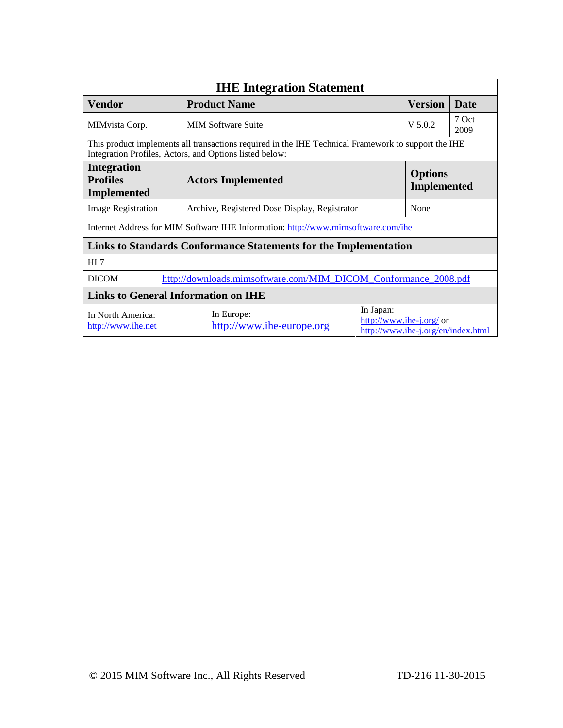| <b>IHE Integration Statement</b>                                                  |                                                                                                                                                                |                                                                 |                                                                                                                                                        |  |                                      |               |  |
|-----------------------------------------------------------------------------------|----------------------------------------------------------------------------------------------------------------------------------------------------------------|-----------------------------------------------------------------|--------------------------------------------------------------------------------------------------------------------------------------------------------|--|--------------------------------------|---------------|--|
| Vendor                                                                            |                                                                                                                                                                |                                                                 | <b>Product Name</b>                                                                                                                                    |  | <b>Version</b>                       | <b>Date</b>   |  |
| MIMvista Corp.                                                                    |                                                                                                                                                                |                                                                 | <b>MIM Software Suite</b>                                                                                                                              |  | $V$ 5.0.2                            | 7 Oct<br>2009 |  |
|                                                                                   | This product implements all transactions required in the IHE Technical Framework to support the IHE<br>Integration Profiles, Actors, and Options listed below: |                                                                 |                                                                                                                                                        |  |                                      |               |  |
| <b>Integration</b><br><b>Profiles</b><br><b>Implemented</b>                       |                                                                                                                                                                |                                                                 | <b>Actors Implemented</b>                                                                                                                              |  | <b>Options</b><br><b>Implemented</b> |               |  |
| <b>Image Registration</b>                                                         |                                                                                                                                                                |                                                                 | Archive, Registered Dose Display, Registrator                                                                                                          |  | None                                 |               |  |
| Internet Address for MIM Software IHE Information: http://www.mimsoftware.com/ihe |                                                                                                                                                                |                                                                 |                                                                                                                                                        |  |                                      |               |  |
| Links to Standards Conformance Statements for the Implementation                  |                                                                                                                                                                |                                                                 |                                                                                                                                                        |  |                                      |               |  |
| HL7                                                                               |                                                                                                                                                                |                                                                 |                                                                                                                                                        |  |                                      |               |  |
| <b>DICOM</b>                                                                      |                                                                                                                                                                | http://downloads.mimsoftware.com/MIM_DICOM_Conformance_2008.pdf |                                                                                                                                                        |  |                                      |               |  |
| <b>Links to General Information on IHE</b>                                        |                                                                                                                                                                |                                                                 |                                                                                                                                                        |  |                                      |               |  |
| In North America:<br>http://www.ihe.net                                           |                                                                                                                                                                |                                                                 | In Japan:<br>In Europe:<br>$\frac{http://www.ine-j.org/}{http://www.ine-j.org/}$ or<br>http://www.ihe-europe.org<br>http://www.ihe-j.org/en/index.html |  |                                      |               |  |